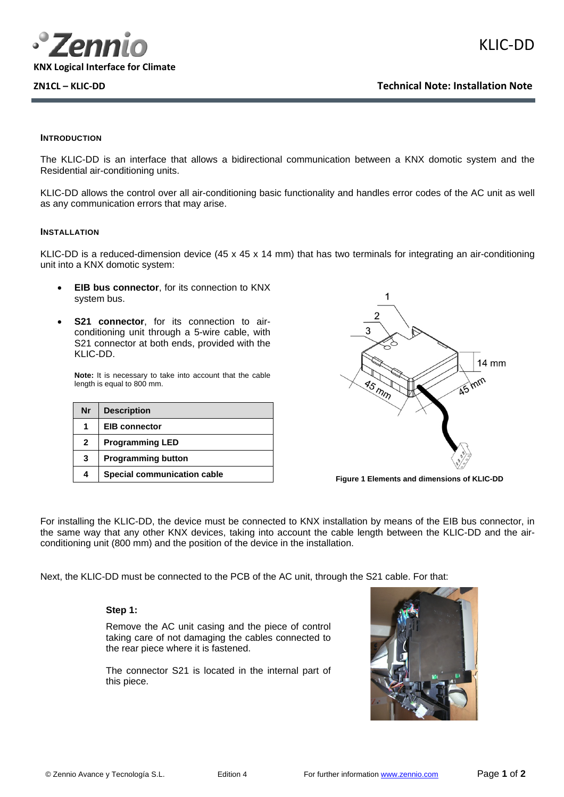

## **INTRODUCTION**

The KLIC-DD is an interface that allows a bidirectional communication between a KNX domotic system and the Residential air-conditioning units.

KLIC-DD allows the control over all air-conditioning basic functionality and handles error codes of the AC unit as well as any communication errors that may arise.

### **INSTALLATION**

KLIC-DD is a reduced-dimension device (45 x 45 x 14 mm) that has two terminals for integrating an air-conditioning unit into a KNX domotic system:

- **EIB bus connector**, for its connection to KNX system bus.
- **S21 connector**, for its connection to airconditioning unit through a 5-wire cable, with S21 connector at both ends, provided with the KLIC-DD.

**Note:** It is necessary to take into account that the cable length is equal to 800 mm.

| Nr           | <b>Description</b>          |
|--------------|-----------------------------|
| 1            | <b>EIB</b> connector        |
| $\mathbf{2}$ | <b>Programming LED</b>      |
| 3            | <b>Programming button</b>   |
|              | Special communication cable |



**Figure 1 Elements and dimensions of KLIC-DD** 

For installing the KLIC-DD, the device must be connected to KNX installation by means of the EIB bus connector, in the same way that any other KNX devices, taking into account the cable length between the KLIC-DD and the airconditioning unit (800 mm) and the position of the device in the installation.

Next, the KLIC-DD must be connected to the PCB of the AC unit, through the S21 cable. For that:

## **Step 1:**

Remove the AC unit casing and the piece of control taking care of not damaging the cables connected to the rear piece where it is fastened.

The connector S21 is located in the internal part of this piece.